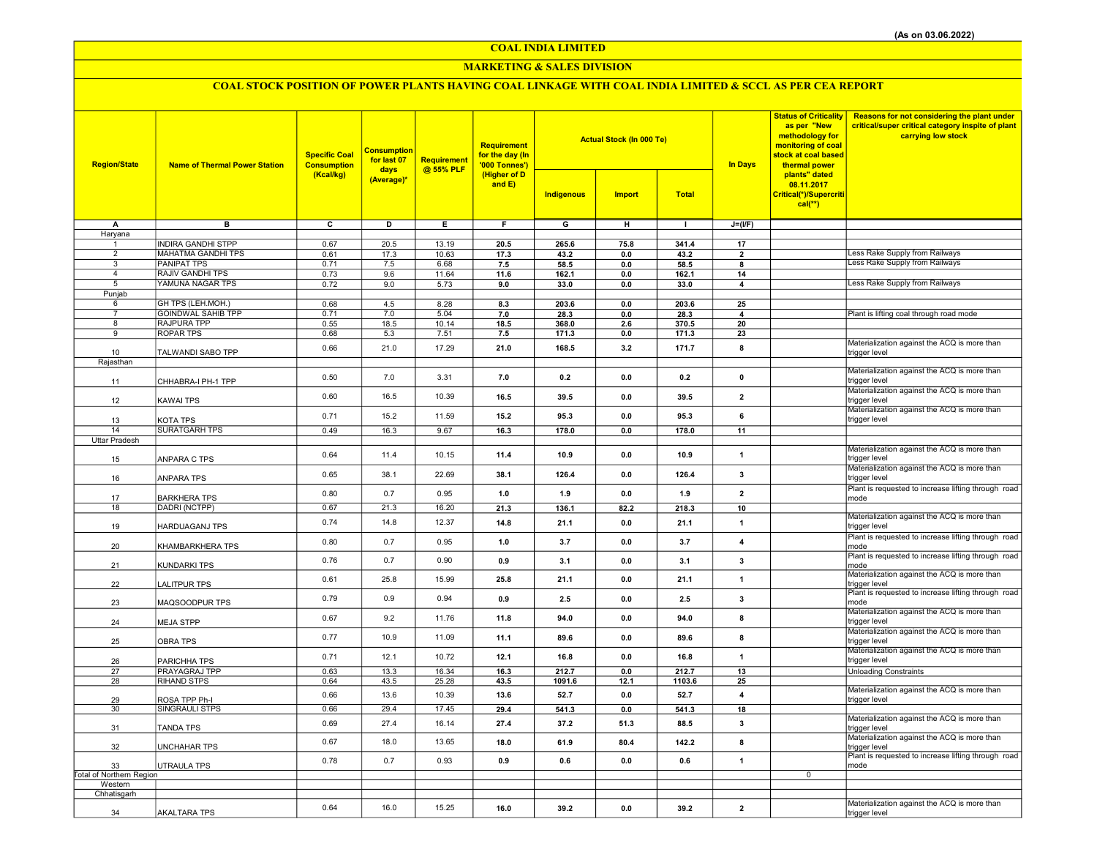COAL INDIA LIMITED

### MARKETING & SALES DIVISION

# COAL STOCK POSITION OF POWER PLANTS HAVING COAL LINKAGE WITH COAL INDIA LIMITED & SCCL AS PER CEA REPORT

| <b>Region/State</b>            | <b>Name of Thermal Power Station</b> | <b>Specific Coal</b><br><b>Consumption</b> | <b>Consumption</b><br>for last 07<br>days | Requirement<br>@ 55% PLF | Requirement<br>for the day (In<br>'000 Tonnes') |                         | <b>Actual Stock (In 000 Te)</b> |               | <b>In Days</b>          | <b>Status of Criticality</b><br>as per "New<br>methodology for<br>monitoring of coal<br>stock at coal based<br>thermal power | <b>Reasons for not considering the plant under</b><br>critical/super critical category inspite of plant<br>carrying low stock |
|--------------------------------|--------------------------------------|--------------------------------------------|-------------------------------------------|--------------------------|-------------------------------------------------|-------------------------|---------------------------------|---------------|-------------------------|------------------------------------------------------------------------------------------------------------------------------|-------------------------------------------------------------------------------------------------------------------------------|
|                                |                                      | (Kcal/kg)                                  | (Average)*                                |                          | (Higher of D<br>and $E$ )                       | Indigenous              | <b>Import</b>                   | <b>Total</b>  |                         | plants" dated<br>08.11.2017<br>Critical(*)/Supercriti<br>$cal(**)$                                                           |                                                                                                                               |
| A                              | $\overline{B}$                       | $\overline{\mathbf{c}}$                    | ъ                                         | Έ                        | F                                               | $\overline{\mathsf{G}}$ | $\overline{H}$                  | $\mathbf{L}$  | $J=(I/F)$               |                                                                                                                              |                                                                                                                               |
| Haryana                        | <b>INDIRA GANDHI STPP</b>            |                                            |                                           |                          |                                                 |                         |                                 |               |                         |                                                                                                                              |                                                                                                                               |
| $\mathbf{1}$<br>$\overline{2}$ | MAHATMA GANDHI TPS                   | 0.67<br>0.61                               | 20.5<br>17.3                              | 13.19<br>10.63           | 20.5<br>17.3                                    | 265.6<br>43.2           | 75.8<br>0.0                     | 341.4<br>43.2 | 17<br>$\overline{2}$    |                                                                                                                              | ess Rake Supply from Railways                                                                                                 |
| 3                              | <b>PANIPAT TPS</b>                   | 0.71                                       | 7.5                                       | 6.68                     | 7.5                                             | 58.5                    | 0.0                             | 58.5          | 8                       |                                                                                                                              | Less Rake Supply from Railways                                                                                                |
| $\overline{4}$                 | <b>RAJIV GANDHI TPS</b>              | 0.73                                       | 9.6                                       | 11.64                    | 11.6                                            | 162.1                   | $0.0\,$                         | 162.1         | 14                      |                                                                                                                              |                                                                                                                               |
| 5                              | YAMUNA NAGAR TPS                     | 0.72                                       | 9.0                                       | 5.73                     | 9.0                                             | 33.0                    | 0.0                             | 33.0          | 4                       |                                                                                                                              | Less Rake Supply from Railways                                                                                                |
| Punjab                         | GH TPS (LEH.MOH.)                    | 0.68                                       | 4.5                                       | 8.28                     | 8.3                                             | 203.6                   | 0.0                             | 203.6         | 25                      |                                                                                                                              |                                                                                                                               |
| 6<br>$\overline{7}$            | <b>GOINDWAL SAHIB TPP</b>            | 0.71                                       | 7.0                                       | 5.04                     | 7.0                                             | 28.3                    | 0.0                             | 28.3          | $\Delta$                |                                                                                                                              | Plant is lifting coal through road mode                                                                                       |
| 8                              | <b>RAJPURA TPP</b>                   | 0.55                                       | 18.5                                      | 10.14                    | 18.5                                            | 368.0                   | 2.6                             | 370.5         | 20                      |                                                                                                                              |                                                                                                                               |
| 9                              | <b>ROPAR TPS</b>                     | 0.68                                       | 5.3                                       | 7.51                     | 7.5                                             | 171.3                   | 0.0                             | 171.3         | 23                      |                                                                                                                              |                                                                                                                               |
|                                | TALWANDI SABO TPP                    | 0.66                                       | 21.0                                      | 17.29                    | 21.0                                            | 168.5                   | 3.2                             | 171.7         | 8                       |                                                                                                                              | Materialization against the ACQ is more than                                                                                  |
| 10<br>Rajasthan                |                                      |                                            |                                           |                          |                                                 |                         |                                 |               |                         |                                                                                                                              | trigger level                                                                                                                 |
|                                |                                      |                                            |                                           | 3.31                     |                                                 |                         |                                 |               |                         |                                                                                                                              | Materialization against the ACQ is more than                                                                                  |
| 11                             | CHHABRA-I PH-1 TPP                   | 0.50                                       | 7.0                                       |                          | 7.0                                             | 0.2                     | 0.0                             | 0.2           | $\pmb{0}$               |                                                                                                                              | trigger level                                                                                                                 |
| 12                             | KAWAI TPS                            | 0.60                                       | 16.5                                      | 10.39                    | 16.5                                            | 39.5                    | 0.0                             | 39.5          | $\overline{2}$          |                                                                                                                              | Materialization against the ACQ is more than<br>trigger level                                                                 |
| 13                             | KOTA TPS                             | 0.71                                       | 15.2                                      | 11.59                    | 15.2                                            | 95.3                    | 0.0                             | 95.3          | 6                       |                                                                                                                              | Materialization against the ACQ is more than<br>trigger level                                                                 |
| 14                             | <b>SURATGARH TPS</b>                 | 0.49                                       | 16.3                                      | 9.67                     | 16.3                                            | 178.0                   | 0.0                             | 178.0         | 11                      |                                                                                                                              |                                                                                                                               |
| Uttar Pradesh                  |                                      |                                            |                                           |                          |                                                 |                         |                                 |               |                         |                                                                                                                              | Materialization against the ACQ is more than                                                                                  |
| 15                             | ANPARA C TPS                         | 0.64                                       | 11.4                                      | 10.15                    | 11.4                                            | 10.9                    | 0.0                             | 10.9          | $\mathbf{1}$            |                                                                                                                              | trigger level<br>Materialization against the ACQ is more than                                                                 |
| 16                             | ANPARA TPS                           | 0.65                                       | 38.1                                      | 22.69                    | 38.1                                            | 126.4                   | 0.0                             | 126.4         | 3                       |                                                                                                                              | trigger level                                                                                                                 |
| 17                             | <b>BARKHERA TPS</b>                  | 0.80                                       | 0.7                                       | 0.95                     | 1.0                                             | 1.9                     | 0.0                             | 1.9           | $\overline{2}$          |                                                                                                                              | Plant is requested to increase lifting through road<br>mode                                                                   |
| 18                             | DADRI (NCTPP)                        | 0.67                                       | 21.3                                      | 16.20                    | 21.3                                            | 136.1                   | 82.2                            | 218.3         | 10                      |                                                                                                                              |                                                                                                                               |
| 19                             | HARDUAGANJ TPS                       | 0.74                                       | 14.8                                      | 12.37                    | 14.8                                            | 21.1                    | 0.0                             | 21.1          | $\mathbf{1}$            |                                                                                                                              | Materialization against the ACQ is more than<br>trigger level                                                                 |
| 20                             | KHAMBARKHERA TPS                     | 0.80                                       | 0.7                                       | 0.95                     | 1.0                                             | 3.7                     | 0.0                             | 3.7           | $\overline{4}$          |                                                                                                                              | Plant is requested to increase lifting through road<br>mode                                                                   |
| 21                             | KUNDARKI TPS                         | 0.76                                       | 0.7                                       | 0.90                     | 0.9                                             | 3.1                     | 0.0                             | 3.1           | $\mathbf{3}$            |                                                                                                                              | Plant is requested to increase lifting through road<br>mode                                                                   |
| 22                             | LALITPUR TPS                         | 0.61                                       | 25.8                                      | 15.99                    | 25.8                                            | 21.1                    | 0.0                             | 21.1          | $\mathbf{1}$            |                                                                                                                              | Materialization against the ACQ is more than<br>trigger level                                                                 |
| 23                             | MAQSOODPUR TPS                       | 0.79                                       | 0.9                                       | 0.94                     | 0.9                                             | 2.5                     | 0.0                             | 2.5           | $\mathbf{3}$            |                                                                                                                              | Plant is requested to increase lifting through road<br>mode                                                                   |
| 24                             | <b>MEJA STPP</b>                     | 0.67                                       | 9.2                                       | 11.76                    | 11.8                                            | 94.0                    | 0.0                             | 94.0          | 8                       |                                                                                                                              | Materialization against the ACQ is more than<br>trigger level                                                                 |
| 25                             | <b>OBRA TPS</b>                      | 0.77                                       | 10.9                                      | 11.09                    | 11.1                                            | 89.6                    | 0.0                             | 89.6          | 8                       |                                                                                                                              | Materialization against the ACQ is more than<br>trigger level                                                                 |
| 26                             | PARICHHA TPS                         | 0.71                                       | 12.1                                      | 10.72                    | 12.1                                            | 16.8                    | 0.0                             | 16.8          | $\mathbf{1}$            |                                                                                                                              | Materialization against the ACQ is more than<br>trigger level                                                                 |
| 27                             | PRAYAGRAJ TPP                        | 0.63                                       | 13.3                                      | 16.34                    | 16.3                                            | 212.7                   | 0.0                             | 212.7         | 13                      |                                                                                                                              | <b>Unloading Constraints</b>                                                                                                  |
| 28                             | <b>RIHAND STPS</b>                   | 0.64                                       | 43.5                                      | 25.28                    | 43.5                                            | 1091.6                  | 12.1                            | 1103.6        | 25                      |                                                                                                                              | Materialization against the ACQ is more than                                                                                  |
| 29                             | ROSA TPP Ph-I                        | 0.66                                       | 13.6                                      | 10.39                    | 13.6                                            | 52.7                    | 0.0                             | 52.7          | $\overline{\mathbf{4}}$ |                                                                                                                              | trigger level                                                                                                                 |
| 30                             | SINGRAULI STPS                       | 0.66                                       | 29.4                                      | 17.45                    | 29.4                                            | 541.3                   | 0.0                             | 541.3         | 18                      |                                                                                                                              | Materialization against the ACQ is more than                                                                                  |
| 31                             | TANDA TPS                            | 0.69                                       | 27.4                                      | 16.14                    | 27.4                                            | 37.2                    | 51.3                            | 88.5          | 3                       |                                                                                                                              | trigger level<br>Materialization against the ACQ is more than                                                                 |
| 32                             | UNCHAHAR TPS                         | 0.67                                       | 18.0                                      | 13.65                    | 18.0                                            | 61.9                    | 80.4                            | 142.2         | 8                       |                                                                                                                              | trigger level                                                                                                                 |
| 33                             | UTRAULA TPS                          | 0.78                                       | 0.7                                       | 0.93                     | 0.9                                             | 0.6                     | 0.0                             | 0.6           | $\mathbf{1}$            |                                                                                                                              | Plant is requested to increase lifting through road<br>mode                                                                   |
| Total of Northern Region       |                                      |                                            |                                           |                          |                                                 |                         |                                 |               |                         | $\mathbf 0$                                                                                                                  |                                                                                                                               |
| Western<br>Chhatisgarh         |                                      |                                            |                                           |                          |                                                 |                         |                                 |               |                         |                                                                                                                              |                                                                                                                               |
|                                |                                      |                                            |                                           |                          |                                                 |                         |                                 |               |                         |                                                                                                                              | Materialization against the ACQ is more than                                                                                  |
| 34                             | <b>AKALTARA TPS</b>                  | 0.64                                       | 16.0                                      | 15.25                    | 16.0                                            | 39.2                    | 0.0                             | 39.2          | $\overline{2}$          |                                                                                                                              | trigger level                                                                                                                 |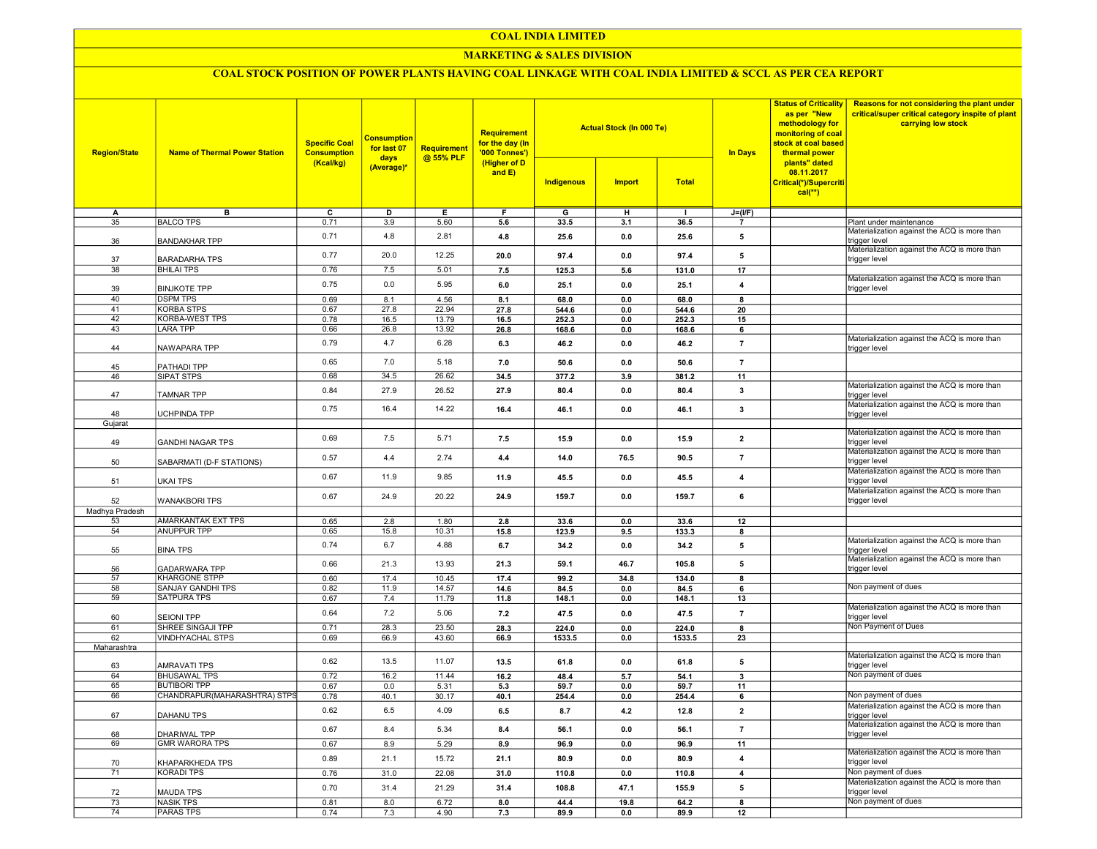### COAL INDIA LIMITED

### MARKETING & SALES DIVISION

## COAL STOCK POSITION OF POWER PLANTS HAVING COAL LINKAGE WITH COAL INDIA LIMITED & SCCL AS PER CEA REPORT

| <b>Region/State</b> | <b>Name of Thermal Power Station</b>         | <b>Specific Coal</b><br><b>Consumption</b> | <b>Consumption</b><br>for last 07 | <b>Requirement</b><br>@ 55% PLF | <b>Requirement</b><br>for the day (In<br>'000 Tonnes') |                | <b>Actual Stock (In 000 Te)</b> |                | <b>Status of Criticality</b><br>as per "New<br>methodology for<br>monitoring of coal<br>stock at coal based<br><b>In Days</b><br>thermal power | Reasons for not considering the plant under<br>critical/super critical category inspite of plant<br>carrying low stock |                                                                     |
|---------------------|----------------------------------------------|--------------------------------------------|-----------------------------------|---------------------------------|--------------------------------------------------------|----------------|---------------------------------|----------------|------------------------------------------------------------------------------------------------------------------------------------------------|------------------------------------------------------------------------------------------------------------------------|---------------------------------------------------------------------|
|                     |                                              | (Kcal/kg)                                  | days<br>(Average)*                |                                 | (Higher of D<br>and E)                                 | Indigenous     | <b>Import</b>                   | <b>Total</b>   |                                                                                                                                                | plants" dated<br>08.11.2017<br>Critical(*)/Supercriti<br>$cal$ (**)                                                    |                                                                     |
| A                   | в                                            | ᢎ                                          | D                                 | Е.                              | F                                                      | G              | н                               | $\mathbf{I}$   | $J=(I/F)$                                                                                                                                      |                                                                                                                        |                                                                     |
| 35                  | <b>BALCO TPS</b>                             | 0.71                                       | 3.9                               | 5.60                            | 5.6                                                    | 33.5           | 3.1                             | 36.5           | $\overline{7}$                                                                                                                                 |                                                                                                                        | Plant under maintenance                                             |
| 36                  | <b>BANDAKHAR TPP</b>                         | 0.71                                       | 4.8                               | 2.81                            | 4.8                                                    | 25.6           | 0.0                             | 25.6           | 5                                                                                                                                              |                                                                                                                        | Materialization against the ACQ is more than<br>trigger level       |
| 37                  | <b>BARADARHA TPS</b>                         | 0.77                                       | 20.0                              | 12.25                           | 20.0                                                   | 97.4           | 0.0                             | 97.4           | 5                                                                                                                                              |                                                                                                                        | Materialization against the ACQ is more than<br>trigger level       |
| 38                  | <b>BHILAI TPS</b>                            | 0.76                                       | 7.5                               | 5.01                            | 7.5                                                    | 125.3          | 5.6                             | 131.0          | 17                                                                                                                                             |                                                                                                                        | Materialization against the ACQ is more than                        |
| 39                  | <b>BINJKOTE TPP</b>                          | 0.75                                       | 0.0                               | 5.95                            | 6.0                                                    | 25.1           | 0.0                             | 25.1           | $\overline{4}$                                                                                                                                 |                                                                                                                        | trigger level                                                       |
| 40<br>41            | <b>DSPM TPS</b><br><b>KORBA STPS</b>         | 0.69<br>0.67                               | 8.1<br>27.8                       | 4.56<br>22.94                   | 8.1<br>27.8                                            | 68.0<br>544.6  | 0.0<br>0.0                      | 68.0<br>544.6  | 8<br>20                                                                                                                                        |                                                                                                                        |                                                                     |
| 42                  | <b>KORBA-WEST TPS</b>                        | 0.78                                       | 16.5                              | 13.79                           | 16.5                                                   | 252.3          | 0.0                             | 252.3          | 15                                                                                                                                             |                                                                                                                        |                                                                     |
| 43                  | <b>LARA TPP</b>                              | 0.66                                       | 26.8                              | 13.92                           | 26.8                                                   | 168.6          | 0.0                             | 168.6          | 6                                                                                                                                              |                                                                                                                        |                                                                     |
| 44                  | NAWAPARA TPP                                 | 0.79                                       | 4.7                               | 6.28                            | 6.3                                                    | 46.2           | 0.0                             | 46.2           | $\overline{7}$                                                                                                                                 |                                                                                                                        | Materialization against the ACQ is more than<br>trigger level       |
| 45                  | PATHADI TPP                                  | 0.65                                       | 7.0                               | 5.18                            | 7.0                                                    | 50.6           | 0.0                             | 50.6           | $\overline{7}$                                                                                                                                 |                                                                                                                        |                                                                     |
| 46                  | SIPAT STPS                                   | 0.68                                       | 34.5                              | 26.62                           | 34.5                                                   | 377.2          | 3.9                             | 381.2          | 11                                                                                                                                             |                                                                                                                        |                                                                     |
| 47                  | <b>TAMNAR TPP</b>                            | 0.84                                       | 27.9                              | 26.52                           | 27.9                                                   | 80.4           | 0.0                             | 80.4           | $\mathbf{3}$                                                                                                                                   |                                                                                                                        | Materialization against the ACQ is more than<br>trigger level       |
| 48                  | <b>UCHPINDA TPP</b>                          | 0.75                                       | 16.4                              | 14.22                           | 16.4                                                   | 46.1           | 0.0                             | 46.1           | 3                                                                                                                                              |                                                                                                                        | Materialization against the ACQ is more than<br>trigger level       |
| Gujarat             |                                              |                                            |                                   |                                 |                                                        |                |                                 |                |                                                                                                                                                |                                                                                                                        |                                                                     |
| 49                  | <b>GANDHI NAGAR TPS</b>                      | 0.69                                       | 7.5                               | 5.71                            | 7.5                                                    | 15.9           | 0.0                             | 15.9           | $\overline{\mathbf{2}}$                                                                                                                        |                                                                                                                        | Materialization against the ACQ is more than<br>rigger level        |
| 50                  | SABARMATI (D-F STATIONS)                     | 0.57                                       | 4.4                               | 2.74                            | 4.4                                                    | 14.0           | 76.5                            | 90.5           | $\overline{7}$                                                                                                                                 |                                                                                                                        | Materialization against the ACQ is more than<br>trigger level       |
| 51                  | <b>UKAI TPS</b>                              | 0.67                                       | 11.9                              | 9.85                            | 11.9                                                   | 45.5           | 0.0                             | 45.5           | $\overline{\mathbf{4}}$                                                                                                                        |                                                                                                                        | Materialization against the ACQ is more than<br>trigger level       |
| 52                  | <b>WANAKBORI TPS</b>                         | 0.67                                       | 24.9                              | 20.22                           | 24.9                                                   | 159.7          | 0.0                             | 159.7          | 6                                                                                                                                              |                                                                                                                        | Materialization against the ACQ is more than<br>trigger level       |
| Madhya Pradesh      |                                              |                                            |                                   |                                 |                                                        |                |                                 |                |                                                                                                                                                |                                                                                                                        |                                                                     |
| 53                  | AMARKANTAK EXT TPS                           | 0.65                                       | 2.8                               | 1.80                            | 2.8                                                    | 33.6           | 0.0                             | 33.6           | 12                                                                                                                                             |                                                                                                                        |                                                                     |
| 54                  | <b>ANUPPUR TPP</b>                           | 0.65                                       | 15.8                              | 10.31                           | 15.8                                                   | 123.9          | 9.5                             | 133.3          | 8                                                                                                                                              |                                                                                                                        |                                                                     |
| 55                  | <b>BINA TPS</b>                              | 0.74                                       | 6.7                               | 4.88                            | 6.7                                                    | 34.2           | 0.0                             | 34.2           | 5                                                                                                                                              |                                                                                                                        | Materialization against the ACQ is more than<br>trigger level       |
| 56<br>57            | <b>GADARWARA TPP</b><br><b>KHARGONE STPP</b> | 0.66<br>0.60                               | 21.3<br>17.4                      | 13.93<br>10.45                  | 21.3                                                   | 59.1           | 46.7                            | 105.8          | 5                                                                                                                                              |                                                                                                                        | Materialization against the ACQ is more than<br>trigger level       |
| 58                  | <b>SANJAY GANDHI TPS</b>                     | 0.82                                       | 11.9                              | 14.57                           | 17.4<br>14.6                                           | 99.2<br>84.5   | 34.8<br>0.0                     | 134.0<br>84.5  | 8<br>6                                                                                                                                         |                                                                                                                        | Non payment of dues                                                 |
| 59                  | <b>SATPURA TPS</b>                           | 0.67                                       | 7.4                               | 11.79                           | 11.8                                                   | 148.1          | 0.0                             | 148.1          | 13                                                                                                                                             |                                                                                                                        |                                                                     |
| 60                  | <b>SEIONI TPP</b>                            | 0.64                                       | 7.2                               | 5.06                            | 7.2                                                    | 47.5           | 0.0                             | 47.5           | $\overline{7}$                                                                                                                                 |                                                                                                                        | Materialization against the ACQ is more than<br>trigger level       |
| 61                  | SHREE SINGAJI TPP                            | 0.71                                       | 28.3                              | 23.50                           | 28.3                                                   | 224.0          | 0.0                             | 224.0          | 8                                                                                                                                              |                                                                                                                        | Non Payment of Dues                                                 |
| 62                  | <b>VINDHYACHAL STPS</b>                      | 0.69                                       | 66.9                              | 43.60                           | 66.9                                                   | 1533.5         | 0.0                             | 1533.5         | 23                                                                                                                                             |                                                                                                                        |                                                                     |
| Maharashtra         |                                              |                                            |                                   |                                 |                                                        |                |                                 |                |                                                                                                                                                |                                                                                                                        |                                                                     |
| 63                  | <b>AMRAVATI TPS</b>                          | 0.62                                       | 13.5                              | 11.07                           | 13.5                                                   | 61.8           | 0.0                             | 61.8           | 5                                                                                                                                              |                                                                                                                        | Materialization against the ACQ is more than<br>trigger level       |
| 64                  | <b>BHUSAWAL TPS</b>                          | 0.72                                       | 16.2                              | 11.44                           | 16.2                                                   | 48.4           | 5.7                             | 54.1           | $\overline{\mathbf{3}}$                                                                                                                        |                                                                                                                        | Non payment of dues                                                 |
| 65                  | <b>BUTIBORI TPP</b>                          | 0.67                                       | 0.0                               | 5.31                            | 5.3                                                    | 59.7           | 0.0                             | 59.7           | 11                                                                                                                                             |                                                                                                                        |                                                                     |
| 66                  | CHANDRAPUR(MAHARASHTRA) STPS                 | 0.78                                       | 40.1                              | 30.17                           | 40.1                                                   | 254.4          | 0.0                             | 254.4          | 6                                                                                                                                              |                                                                                                                        | Non payment of dues                                                 |
| 67                  | DAHANU TPS                                   | 0.62                                       | 6.5                               | 4.09                            | 6.5                                                    | 8.7            | $4.2\,$                         | 12.8           | $\overline{2}$                                                                                                                                 |                                                                                                                        | Materialization against the ACQ is more than<br>trigger level       |
| 68                  | DHARIWAL TPP                                 | 0.67                                       | 8.4                               | 5.34                            | 8.4                                                    | 56.1           | 0.0                             | 56.1           | $\overline{7}$                                                                                                                                 |                                                                                                                        | Materialization against the ACQ is more than<br>trigger level       |
| 69                  | <b>GMR WARORA TPS</b>                        | 0.67<br>0.89                               | 8.9<br>21.1                       | 5.29<br>15.72                   | 8.9<br>21.1                                            | 96.9<br>80.9   | 0.0<br>0.0                      | 96.9<br>80.9   | 11<br>$\overline{4}$                                                                                                                           |                                                                                                                        | Materialization against the ACQ is more than                        |
| 70                  | KHAPARKHEDA TPS                              |                                            |                                   |                                 |                                                        |                |                                 |                |                                                                                                                                                |                                                                                                                        | trigger level                                                       |
| 71                  | <b>KORADI TPS</b>                            | 0.76<br>0.70                               | 31.0<br>31.4                      | 22.08<br>21.29                  | 31.0<br>31.4                                           | 110.8<br>108.8 | 0.0<br>47.1                     | 110.8<br>155.9 | $\overline{4}$<br>5                                                                                                                            |                                                                                                                        | Non payment of dues<br>Materialization against the ACQ is more than |
| 72                  | <b>MAUDA TPS</b>                             |                                            |                                   |                                 |                                                        |                |                                 |                |                                                                                                                                                |                                                                                                                        | trigger level                                                       |
| 73                  | <b>NASIK TPS</b>                             | 0.81                                       | 8.0                               | 6.72                            | 8.0                                                    | 44.4           | 19.8                            | 64.2           | $\overline{\mathbf{8}}$                                                                                                                        |                                                                                                                        | Non payment of dues                                                 |
| 74                  | <b>PARAS TPS</b>                             | 0.74                                       | 7.3                               | 4.90                            | 7.3                                                    | 89.9           | 0.0                             | 89.9           | 12                                                                                                                                             |                                                                                                                        |                                                                     |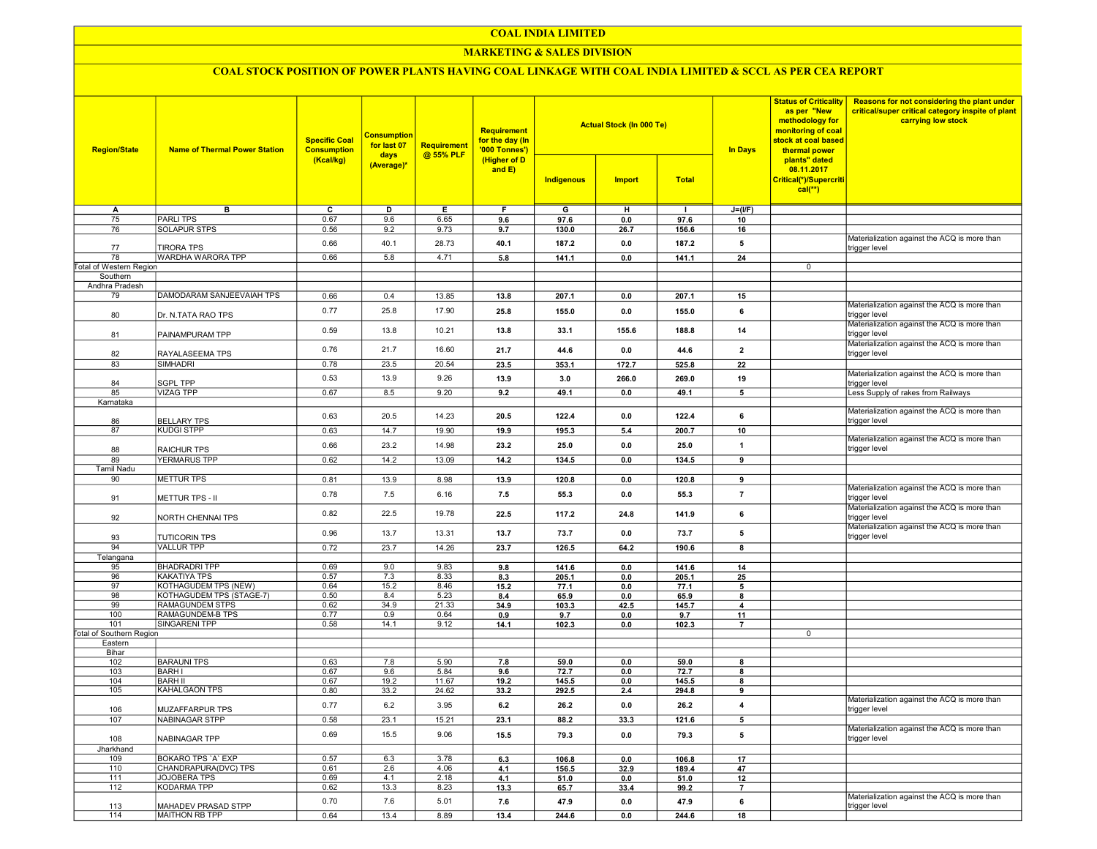## COAL INDIA LIMITED

## **MARKETING & SALES DIVISION**

# COAL STOCK POSITION OF POWER PLANTS HAVING COAL LINKAGE WITH COAL INDIA LIMITED & SCCL AS PER CEA REPORT

| <b>Region/State</b>             | <b>Name of Thermal Power Station</b> | <b>Specific Coal</b><br><b>Consumption</b><br>(Kcal/kg) | <u>Consumption</u><br>for last 07<br>days<br>(Average)* | <b>Requirement</b><br>@ 55% PLF | <b>Requirement</b><br>for the day (In<br>'000 Tonnes')<br>(Higher of D<br>and $E$ ) | Indigenous     | <b>Actual Stock (In 000 Te)</b><br><b>Import</b> | <b>Total</b>   | <b>In Days</b> | <b>Status of Criticality</b><br>as per "New<br>methodology for<br>monitoring of coal<br>stock at coal based<br>thermal power<br>plants" dated<br>08.11.2017<br>Critical(*)/Supercriti | <b>Reasons for not considering the plant under</b><br>critical/super critical category inspite of plant<br>carrying low stock |
|---------------------------------|--------------------------------------|---------------------------------------------------------|---------------------------------------------------------|---------------------------------|-------------------------------------------------------------------------------------|----------------|--------------------------------------------------|----------------|----------------|---------------------------------------------------------------------------------------------------------------------------------------------------------------------------------------|-------------------------------------------------------------------------------------------------------------------------------|
|                                 |                                      |                                                         |                                                         |                                 |                                                                                     |                |                                                  |                |                | $cal$ (**)                                                                                                                                                                            |                                                                                                                               |
|                                 |                                      |                                                         |                                                         |                                 |                                                                                     |                |                                                  |                |                |                                                                                                                                                                                       |                                                                                                                               |
| Α                               | в                                    | c                                                       | D                                                       | Е                               | F.                                                                                  | G              | н                                                | $\mathbf{I}$   | $J=(I/F)$      |                                                                                                                                                                                       |                                                                                                                               |
| 75                              | <b>PARLITPS</b>                      | 0.67                                                    | 9.6                                                     | 6.65                            | 9.6                                                                                 | 97.6           | 0.0                                              | 97.6           | 10             |                                                                                                                                                                                       |                                                                                                                               |
| 76                              | <b>SOLAPUR STPS</b>                  | 0.56                                                    | 9.2                                                     | 9.73                            | 9.7                                                                                 | 130.0          | 26.7                                             | 156.6          | 16             |                                                                                                                                                                                       |                                                                                                                               |
| 77                              | <b>TIRORA TPS</b>                    | 0.66                                                    | 40.1                                                    | 28.73                           | 40.1                                                                                | 187.2          | 0.0                                              | 187.2          | 5              |                                                                                                                                                                                       | Materialization against the ACQ is more than<br>trigger level                                                                 |
| 78                              | WARDHA WARORA TPP                    | 0.66                                                    | 5.8                                                     | 4.71                            | 5.8                                                                                 | 141.1          | 0.0                                              | 141.1          | 24             |                                                                                                                                                                                       |                                                                                                                               |
| Total of Western Region         |                                      |                                                         |                                                         |                                 |                                                                                     |                |                                                  |                |                | 0                                                                                                                                                                                     |                                                                                                                               |
| Southern                        |                                      |                                                         |                                                         |                                 |                                                                                     |                |                                                  |                |                |                                                                                                                                                                                       |                                                                                                                               |
| Andhra Pradesh                  |                                      |                                                         |                                                         |                                 |                                                                                     |                |                                                  |                |                |                                                                                                                                                                                       |                                                                                                                               |
| 79                              | DAMODARAM SANJEEVAIAH TPS            | 0.66                                                    | 0.4                                                     | 13.85                           | 13.8                                                                                | 207.1          | 0.0                                              | 207.1          | 15             |                                                                                                                                                                                       | Materialization against the ACQ is more than                                                                                  |
| 80                              | Dr. N.TATA RAO TPS                   | 0.77                                                    | 25.8                                                    | 17.90                           | 25.8                                                                                | 155.0          | 0.0                                              | 155.0          | 6              |                                                                                                                                                                                       | trigger level<br>Materialization against the ACQ is more than                                                                 |
| 81                              | PAINAMPURAM TPP                      | 0.59                                                    | 13.8                                                    | 10.21                           | 13.8                                                                                | 33.1           | 155.6                                            | 188.8          | 14             |                                                                                                                                                                                       | trigger level                                                                                                                 |
| 82                              | RAYALASEEMA TPS                      | 0.76                                                    | 21.7                                                    | 16.60                           | 21.7                                                                                | 44.6           | 0.0                                              | 44.6           | $\overline{2}$ |                                                                                                                                                                                       | Materialization against the ACQ is more than<br>trigger level                                                                 |
| 83                              | SIMHADRI                             | 0.78                                                    | 23.5                                                    | 20.54                           | 23.5                                                                                | 353.1          | 172.7                                            | 525.8          | 22             |                                                                                                                                                                                       |                                                                                                                               |
|                                 |                                      | 0.53                                                    | 13.9                                                    | 9.26                            | 13.9                                                                                | 3.0            | 266.0                                            | 269.0          | 19             |                                                                                                                                                                                       | Materialization against the ACQ is more than                                                                                  |
| 84<br>85                        | <b>SGPL TPP</b><br><b>VIZAG TPP</b>  | 0.67                                                    | 8.5                                                     | 9.20                            | 9.2                                                                                 | 49.1           | 0.0                                              | 49.1           | $\overline{5}$ |                                                                                                                                                                                       | trigger level<br>Less Supply of rakes from Railways                                                                           |
| Karnataka                       |                                      |                                                         |                                                         |                                 |                                                                                     |                |                                                  |                |                |                                                                                                                                                                                       |                                                                                                                               |
| 86                              | <b>BELLARY TPS</b>                   | 0.63                                                    | 20.5                                                    | 14.23                           | 20.5                                                                                | 122.4          | 0.0                                              | 122.4          | 6              |                                                                                                                                                                                       | Materialization against the ACQ is more than<br>trigger level                                                                 |
| 87                              | <b>KUDGI STPP</b>                    | 0.63                                                    | 14.7                                                    | 19.90                           | 19.9                                                                                | 195.3          | 5.4                                              | 200.7          | 10             |                                                                                                                                                                                       |                                                                                                                               |
|                                 |                                      | 0.66                                                    | 23.2                                                    | 14.98                           |                                                                                     |                |                                                  |                |                |                                                                                                                                                                                       | Materialization against the ACQ is more than                                                                                  |
| 88                              | <b>RAICHUR TPS</b>                   |                                                         |                                                         |                                 | 23.2                                                                                | 25.0           | 0.0                                              | 25.0           | $\overline{1}$ |                                                                                                                                                                                       | trigger level                                                                                                                 |
| 89                              | <b>YERMARUS TPP</b>                  | 0.62                                                    | 14.2                                                    | 13.09                           | 14.2                                                                                | 134.5          | 0.0                                              | 134.5          | $\overline{9}$ |                                                                                                                                                                                       |                                                                                                                               |
| Tamil Nadu                      |                                      |                                                         |                                                         |                                 |                                                                                     |                |                                                  |                |                |                                                                                                                                                                                       |                                                                                                                               |
| 90                              | METTUR TPS                           | 0.81                                                    | 13.9                                                    | 8.98                            | 13.9                                                                                | 120.8          | 0.0                                              | 120.8          | 9              |                                                                                                                                                                                       | Materialization against the ACQ is more than                                                                                  |
| 91                              | <b>METTUR TPS - II</b>               | 0.78                                                    | 7.5                                                     | 6.16                            | 7.5                                                                                 | 55.3           | 0.0                                              | 55.3           | $\overline{7}$ |                                                                                                                                                                                       | trigger level<br>Materialization against the ACQ is more than                                                                 |
| 92                              | NORTH CHENNAI TPS                    | 0.82                                                    | 22.5                                                    | 19.78                           | 22.5                                                                                | 117.2          | 24.8                                             | 141.9          | 6              |                                                                                                                                                                                       | trigger level                                                                                                                 |
| 93                              | <b>TUTICORIN TPS</b>                 | 0.96                                                    | 13.7                                                    | 13.31                           | 13.7                                                                                | 73.7           | 0.0                                              | 73.7           | 5              |                                                                                                                                                                                       | Materialization against the ACQ is more than<br>trigger level                                                                 |
| 94                              | <b>VALLUR TPP</b>                    | 0.72                                                    | 23.7                                                    | 14.26                           | 23.7                                                                                | 126.5          | 64.2                                             | 190.6          | 8              |                                                                                                                                                                                       |                                                                                                                               |
| Telangana                       | <b>BHADRADRI TPP</b>                 | 0.69                                                    | 9.0                                                     | 9.83                            | 9.8                                                                                 | 141.6          | $0.0\,$                                          | 141.6          | 14             |                                                                                                                                                                                       |                                                                                                                               |
| 95<br>96                        | <b>KAKATIYA TPS</b>                  | 0.57                                                    | 7.3                                                     | 8.33                            | 8.3                                                                                 | 205.1          | 0.0                                              | 205.1          | 25             |                                                                                                                                                                                       |                                                                                                                               |
| 97                              | KOTHAGUDEM TPS (NEW)                 | 0.64                                                    | 15.2                                                    | 8.46                            | 15.2                                                                                | 77.1           | 0.0                                              | 77.1           | 5              |                                                                                                                                                                                       |                                                                                                                               |
| 98                              | KOTHAGUDEM TPS (STAGE-7)             | 0.50                                                    | 8.4                                                     | 5.23                            | 8.4                                                                                 | 65.9           | 0.0                                              | 65.9           | 8              |                                                                                                                                                                                       |                                                                                                                               |
| 99                              | RAMAGUNDEM STPS                      | 0.62                                                    | 34.9                                                    | 21.33                           | 34.9                                                                                | 103.3          | 42.5                                             | 145.7          | 4              |                                                                                                                                                                                       |                                                                                                                               |
| 100<br>101                      | RAMAGUNDEM-B TPS<br>SINGARENI TPP    | 0.77                                                    | 0.9<br>14.1                                             | 0.64                            | 0.9                                                                                 | 9.7            | 0.0                                              | 9.7            | 11             |                                                                                                                                                                                       |                                                                                                                               |
| <b>Total of Southern Region</b> |                                      | 0.58                                                    |                                                         | 9.12                            | 14.1                                                                                | 102.3          | 0.0                                              | 102.3          | $\overline{7}$ | 0                                                                                                                                                                                     |                                                                                                                               |
| Eastern                         |                                      |                                                         |                                                         |                                 |                                                                                     |                |                                                  |                |                |                                                                                                                                                                                       |                                                                                                                               |
| Bihar                           |                                      |                                                         |                                                         |                                 |                                                                                     |                |                                                  |                |                |                                                                                                                                                                                       |                                                                                                                               |
| 102                             | <b>BARAUNI TPS</b>                   | 0.63                                                    | 7.8                                                     | 5.90                            | 7.8                                                                                 | 59.0           | 0.0                                              | 59.0           | 8              |                                                                                                                                                                                       |                                                                                                                               |
| 103                             | <b>BARHI</b>                         | 0.67                                                    | 9.6<br>19.2                                             | 5.84                            | 9.6                                                                                 | 72.7           | 0.0                                              | 72.7           | 8              |                                                                                                                                                                                       |                                                                                                                               |
| 104<br>105                      | <b>BARH II</b><br>KAHALGAON TPS      | 0.67<br>0.80                                            | 33.2                                                    | 11.67<br>24.62                  | 19.2<br>33.2                                                                        | 145.5<br>292.5 | 0.0<br>2.4                                       | 145.5<br>294.8 | 8<br>9         |                                                                                                                                                                                       |                                                                                                                               |
|                                 |                                      |                                                         |                                                         |                                 |                                                                                     |                |                                                  |                |                |                                                                                                                                                                                       | Materialization against the ACQ is more than                                                                                  |
| 106<br>107                      | MUZAFFARPUR TPS<br>NABINAGAR STPP    | 0.77                                                    | 6.2                                                     | 3.95                            | 6.2                                                                                 | 26.2           | 0.0                                              | 26.2           | 4              |                                                                                                                                                                                       | trigger level                                                                                                                 |
|                                 |                                      | 0.58                                                    | 23.1                                                    | 15.21                           | 23.1                                                                                | 88.2           | 33.3                                             | 121.6          | 5              |                                                                                                                                                                                       | Materialization against the ACQ is more than                                                                                  |
| 108                             | NABINAGAR TPP                        | 0.69                                                    | 15.5                                                    | 9.06                            | 15.5                                                                                | 79.3           | 0.0                                              | 79.3           | 5              |                                                                                                                                                                                       | trigger level                                                                                                                 |
| Jharkhand<br>109                | BOKARO TPS 'A' EXP                   | 0.57                                                    | 6.3                                                     | 3.78                            | 6.3                                                                                 | 106.8          | 0.0                                              | 106.8          | 17             |                                                                                                                                                                                       |                                                                                                                               |
| 110                             | CHANDRAPURA(DVC) TPS                 | 0.61                                                    | 2.6                                                     | 4.06                            | 4.1                                                                                 | 156.5          | 32.9                                             | 189.4          | 47             |                                                                                                                                                                                       |                                                                                                                               |
| 111                             | <b>JOJOBERA TPS</b>                  | 0.69                                                    | 4.1                                                     | 2.18                            | 4.1                                                                                 | 51.0           | 0.0                                              | 51.0           | 12             |                                                                                                                                                                                       |                                                                                                                               |
| 112                             | KODARMA TPP                          | 0.62                                                    | 13.3                                                    | 8.23                            | 13.3                                                                                | 65.7           | 33.4                                             | 99.2           | $\overline{7}$ |                                                                                                                                                                                       |                                                                                                                               |
| 113                             | MAHADEV PRASAD STPP                  | 0.70                                                    | 7.6                                                     | 5.01                            | 7.6                                                                                 | 47.9           | 0.0                                              | 47.9           | 6              |                                                                                                                                                                                       | Materialization against the ACQ is more than<br>trigger level                                                                 |
| 114                             | <b>MAITHON RB TPP</b>                | 0.64                                                    | 13.4                                                    | 8.89                            | 13.4                                                                                | 244.6          | 0.0                                              | 244.6          | 18             |                                                                                                                                                                                       |                                                                                                                               |